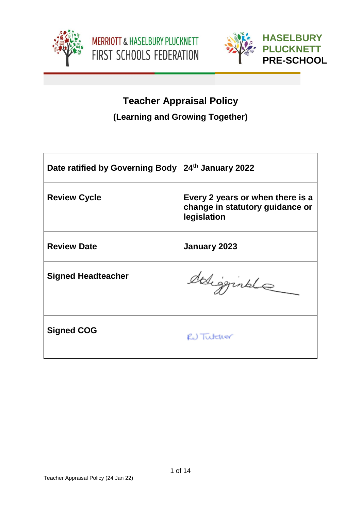





# **Teacher Appraisal Policy (Learning and Growing Together)**

| Date ratified by Governing Body | 24th January 2022                                                                  |
|---------------------------------|------------------------------------------------------------------------------------|
| <b>Review Cycle</b>             | Every 2 years or when there is a<br>change in statutory guidance or<br>legislation |
| <b>Review Date</b>              | January 2023                                                                       |
| <b>Signed Headteacher</b>       | deligginale                                                                        |
| <b>Signed COG</b>               | RU Tutcher                                                                         |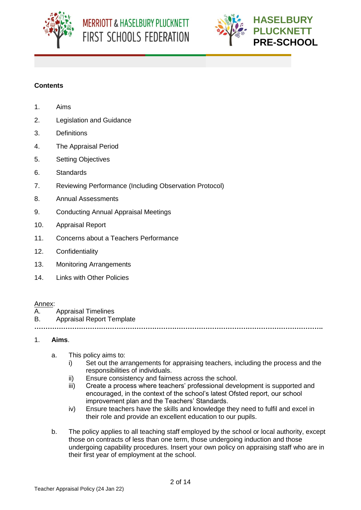



# **Contents**

- 1. Aims
- 2. Legislation and Guidance
- 3. Definitions
- 4. The Appraisal Period
- 5. Setting Objectives
- 6. Standards
- 7. Reviewing Performance (Including Observation Protocol)
- 8. Annual Assessments
- 9. Conducting Annual Appraisal Meetings
- 10. Appraisal Report
- 11. Concerns about a Teachers Performance
- 12. Confidentiality
- 13. Monitoring Arrangements
- 14. Links with Other Policies

#### Annex:

- A. Appraisal Timelines
- B. Appraisal Report Template

**………………………………………………………………………………………………………………….**

#### 1. **Aims**.

- a. This policy aims to:
	- i) Set out the arrangements for appraising teachers, including the process and the responsibilities of individuals.
	- ii) Ensure consistency and fairness across the school.
	- iii) Create a process where teachers' professional development is supported and encouraged, in the context of the school's latest Ofsted report, our school improvement plan and the Teachers' Standards.
	- iv) Ensure teachers have the skills and knowledge they need to fulfil and excel in their role and provide an excellent education to our pupils.
- b. The policy applies to all teaching staff employed by the school or local authority, except those on contracts of less than one term, those undergoing induction and those undergoing capability procedures. Insert your own policy on appraising staff who are in their first year of employment at the school.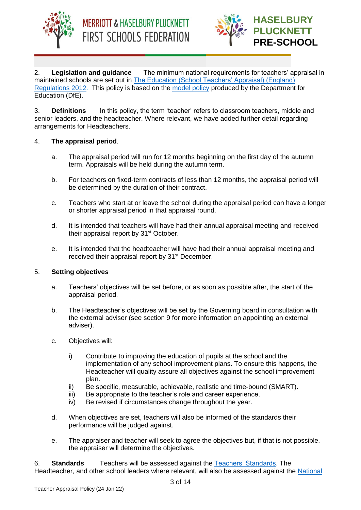



2. **Legislation and guidance** The minimum national requirements for teachers' appraisal in maintained schools are set out in [The Education \(School Teachers' Appraisal\) \(England\)](http://www.legislation.gov.uk/uksi/2012/115/contents/made)  [Regulations 2012.](http://www.legislation.gov.uk/uksi/2012/115/contents/made) This policy is based on the [model policy](https://www.gov.uk/government/publications/teacher-appraisal-and-capability-model-policy) produced by the Department for Education (DfE).

3. **Definitions** In this policy, the term 'teacher' refers to classroom teachers, middle and senior leaders, and the headteacher. Where relevant, we have added further detail regarding arrangements for Headteachers.

## 4. **The appraisal period**.

- a. The appraisal period will run for 12 months beginning on the first day of the autumn term. Appraisals will be held during the autumn term.
- b. For teachers on fixed-term contracts of less than 12 months, the appraisal period will be determined by the duration of their contract.
- c. Teachers who start at or leave the school during the appraisal period can have a longer or shorter appraisal period in that appraisal round.
- d. It is intended that teachers will have had their annual appraisal meeting and received their appraisal report by 31<sup>st</sup> October.
- e. It is intended that the headteacher will have had their annual appraisal meeting and received their appraisal report by 31<sup>st</sup> December.

#### 5. **Setting objectives**

- a. Teachers' objectives will be set before, or as soon as possible after, the start of the appraisal period.
- b. The Headteacher's objectives will be set by the Governing board in consultation with the external adviser (see section 9 for more information on appointing an external adviser).
- c. Objectives will:
	- i) Contribute to improving the education of pupils at the school and the implementation of any school improvement plans. To ensure this happens, the Headteacher will quality assure all objectives against the school improvement plan.
	- ii) Be specific, measurable, achievable, realistic and time-bound (SMART).
	- iii) Be appropriate to the teacher's role and career experience.
	- iv) Be revised if circumstances change throughout the year.
- d. When objectives are set, teachers will also be informed of the standards their performance will be judged against.
- e. The appraiser and teacher will seek to agree the objectives but, if that is not possible, the appraiser will determine the objectives.

6. **Standards** Teachers will be assessed against the [Teachers' Standards.](https://www.gov.uk/government/publications/teachers-standards) The Headteacher, and other school leaders where relevant, will also be assessed against the [National](https://www.gov.uk/government/publications/national-standards-of-excellence-for-headteachers)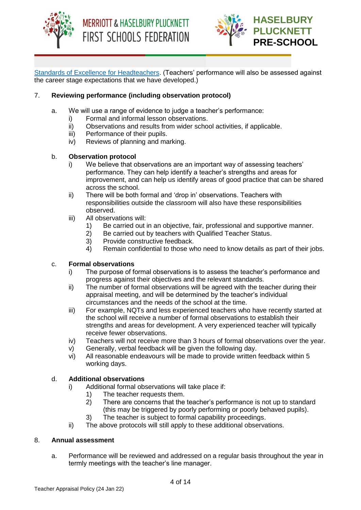



[Standards of Excellence for Headteachers.](https://www.gov.uk/government/publications/national-standards-of-excellence-for-headteachers) (Teachers' performance will also be assessed against the career stage expectations that we have developed.)

# 7. **Reviewing performance (including observation protocol)**

- a. We will use a range of evidence to judge a teacher's performance:
	- i) Formal and informal lesson observations.
	- ii) Observations and results from wider school activities, if applicable.
	- iii) Performance of their pupils.
	- iv) Reviews of planning and marking.

## b. **Observation protocol**

- i) We believe that observations are an important way of assessing teachers' performance. They can help identify a teacher's strengths and areas for improvement, and can help us identify areas of good practice that can be shared across the school.
- ii) There will be both formal and 'drop in' observations. Teachers with responsibilities outside the classroom will also have these responsibilities observed.
- iii) All observations will:
	- 1) Be carried out in an objective, fair, professional and supportive manner.
	- 2) Be carried out by teachers with Qualified Teacher Status.
	- 3) Provide constructive feedback.
	- 4) Remain confidential to those who need to know details as part of their jobs.

#### c. **Formal observations**

- i) The purpose of formal observations is to assess the teacher's performance and progress against their objectives and the relevant standards.
- ii) The number of formal observations will be agreed with the teacher during their appraisal meeting, and will be determined by the teacher's individual circumstances and the needs of the school at the time.
- iii) For example, NQTs and less experienced teachers who have recently started at the school will receive a number of formal observations to establish their strengths and areas for development. A very experienced teacher will typically receive fewer observations.
- iv) Teachers will not receive more than 3 hours of formal observations over the year.
- v) Generally, verbal feedback will be given the following day.
- vi) All reasonable endeavours will be made to provide written feedback within 5 working days.

#### d. **Additional observations**

- i) Additional formal observations will take place if:
	- 1) The teacher requests them.
	- 2) There are concerns that the teacher's performance is not up to standard (this may be triggered by poorly performing or poorly behaved pupils).
	- 3) The teacher is subject to formal capability proceedings.
- ii) The above protocols will still apply to these additional observations.

#### 8. **Annual assessment**

a. Performance will be reviewed and addressed on a regular basis throughout the year in termly meetings with the teacher's line manager.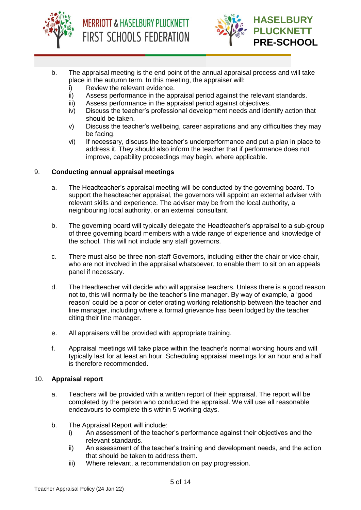



- b. The appraisal meeting is the end point of the annual appraisal process and will take place in the autumn term. In this meeting, the appraiser will:
	- i) Review the relevant evidence.
	- ii) Assess performance in the appraisal period against the relevant standards.
	- iii) Assess performance in the appraisal period against objectives.
	- iv) Discuss the teacher's professional development needs and identify action that should be taken.
	- v) Discuss the teacher's wellbeing, career aspirations and any difficulties they may be facing.
	- vi) If necessary, discuss the teacher's underperformance and put a plan in place to address it. They should also inform the teacher that if performance does not improve, capability proceedings may begin, where applicable.

## 9. **Conducting annual appraisal meetings**

- a. The Headteacher's appraisal meeting will be conducted by the governing board. To support the headteacher appraisal, the governors will appoint an external adviser with relevant skills and experience. The adviser may be from the local authority, a neighbouring local authority, or an external consultant.
- b. The governing board will typically delegate the Headteacher's appraisal to a sub-group of three governing board members with a wide range of experience and knowledge of the school. This will not include any staff governors.
- c. There must also be three non-staff Governors, including either the chair or vice-chair, who are not involved in the appraisal whatsoever, to enable them to sit on an appeals panel if necessary.
- d. The Headteacher will decide who will appraise teachers. Unless there is a good reason not to, this will normally be the teacher's line manager. By way of example, a 'good reason' could be a poor or deteriorating working relationship between the teacher and line manager, including where a formal grievance has been lodged by the teacher citing their line manager.
- e. All appraisers will be provided with appropriate training.
- f. Appraisal meetings will take place within the teacher's normal working hours and will typically last for at least an hour. Scheduling appraisal meetings for an hour and a half is therefore recommended.

#### 10. **Appraisal report**

- a. Teachers will be provided with a written report of their appraisal. The report will be completed by the person who conducted the appraisal. We will use all reasonable endeavours to complete this within 5 working days.
- b. The Appraisal Report will include:
	- i) An assessment of the teacher's performance against their objectives and the relevant standards.
	- ii) An assessment of the teacher's training and development needs, and the action that should be taken to address them.
	- iii) Where relevant, a recommendation on pay progression.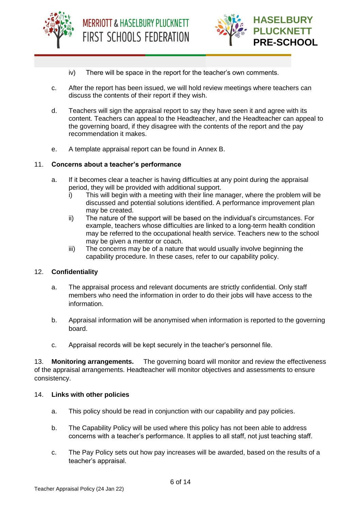



- iv) There will be space in the report for the teacher's own comments.
- c. After the report has been issued, we will hold review meetings where teachers can discuss the contents of their report if they wish.
- d. Teachers will sign the appraisal report to say they have seen it and agree with its content. Teachers can appeal to the Headteacher, and the Headteacher can appeal to the governing board, if they disagree with the contents of the report and the pay recommendation it makes.
- e. A template appraisal report can be found in Annex B.

#### 11. **Concerns about a teacher's performance**

- a. If it becomes clear a teacher is having difficulties at any point during the appraisal period, they will be provided with additional support.
	- i) This will begin with a meeting with their line manager, where the problem will be discussed and potential solutions identified. A performance improvement plan may be created.
	- ii) The nature of the support will be based on the individual's circumstances. For example, teachers whose difficulties are linked to a long-term health condition may be referred to the occupational health service. Teachers new to the school may be given a mentor or coach.
	- iii) The concerns may be of a nature that would usually involve beginning the capability procedure. In these cases, refer to our capability policy.

#### 12. **Confidentiality**

- a. The appraisal process and relevant documents are strictly confidential. Only staff members who need the information in order to do their jobs will have access to the information.
- b. Appraisal information will be anonymised when information is reported to the governing board.
- c. Appraisal records will be kept securely in the teacher's personnel file.

13. **Monitoring arrangements.** The governing board will monitor and review the effectiveness of the appraisal arrangements. Headteacher will monitor objectives and assessments to ensure consistency.

#### 14. **Links with other policies**

- a. This policy should be read in conjunction with our capability and pay policies.
- b. The Capability Policy will be used where this policy has not been able to address concerns with a teacher's performance. It applies to all staff, not just teaching staff.
- c. The Pay Policy sets out how pay increases will be awarded, based on the results of a teacher's appraisal.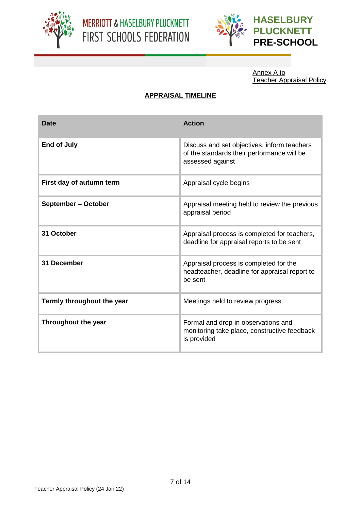



Annex A to Teacher Appraisal Policy

# **APPRAISAL TIMELINE**

| Date                       | <b>Action</b>                                                                                                 |
|----------------------------|---------------------------------------------------------------------------------------------------------------|
| <b>End of July</b>         | Discuss and set objectives, inform teachers<br>of the standards their performance will be<br>assessed against |
| First day of autumn term   | Appraisal cycle begins                                                                                        |
| September - October        | Appraisal meeting held to review the previous<br>appraisal period                                             |
| 31 October                 | Appraisal process is completed for teachers,<br>deadline for appraisal reports to be sent                     |
| 31 December                | Appraisal process is completed for the<br>headteacher, deadline for appraisal report to<br>be sent            |
| Termly throughout the year | Meetings held to review progress                                                                              |
| Throughout the year        | Formal and drop-in observations and<br>monitoring take place, constructive feedback<br>is provided            |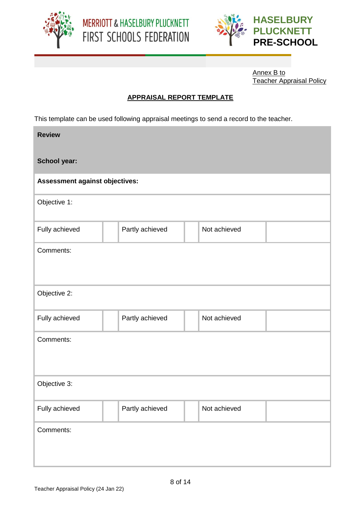



Annex B to Teacher Appraisal Policy

# **APPRAISAL REPORT TEMPLATE**

This template can be used following appraisal meetings to send a record to the teacher.

| <b>Review</b>                  |                 |              |  |  |
|--------------------------------|-----------------|--------------|--|--|
| <b>School year:</b>            |                 |              |  |  |
| Assessment against objectives: |                 |              |  |  |
| Objective 1:                   |                 |              |  |  |
| Fully achieved                 | Partly achieved | Not achieved |  |  |
| Comments:                      |                 |              |  |  |
| Objective 2:                   |                 |              |  |  |
| Fully achieved                 | Partly achieved | Not achieved |  |  |
| Comments:                      |                 |              |  |  |
| Objective 3:                   |                 |              |  |  |
| Fully achieved                 | Partly achieved | Not achieved |  |  |
| Comments:                      |                 |              |  |  |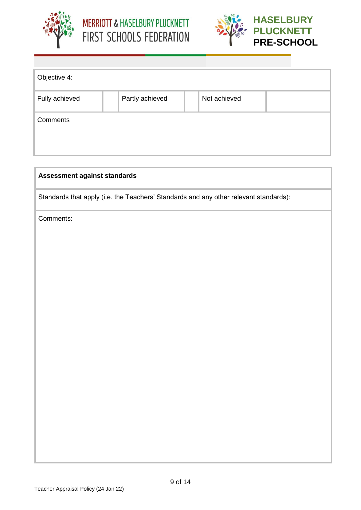





| Objective 4:   |                 |              |  |
|----------------|-----------------|--------------|--|
| Fully achieved | Partly achieved | Not achieved |  |
| Comments       |                 |              |  |

| Assessment against standards                                                          |  |  |
|---------------------------------------------------------------------------------------|--|--|
| Standards that apply (i.e. the Teachers' Standards and any other relevant standards): |  |  |
| Comments:                                                                             |  |  |
|                                                                                       |  |  |
|                                                                                       |  |  |
|                                                                                       |  |  |
|                                                                                       |  |  |
|                                                                                       |  |  |
|                                                                                       |  |  |
|                                                                                       |  |  |
|                                                                                       |  |  |
|                                                                                       |  |  |
|                                                                                       |  |  |
|                                                                                       |  |  |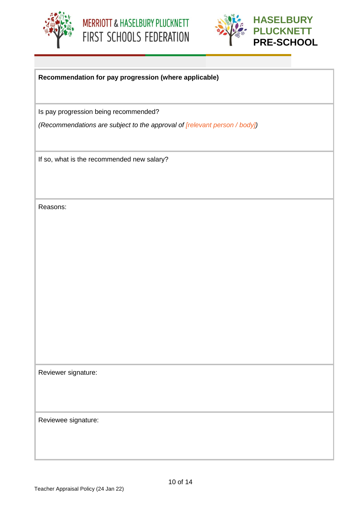





# **Recommendation for pay progression (where applicable)**

Is pay progression being recommended?

*(Recommendations are subject to the approval of [relevant person / body])*

If so, what is the recommended new salary?

Reasons:

Reviewer signature:

Reviewee signature: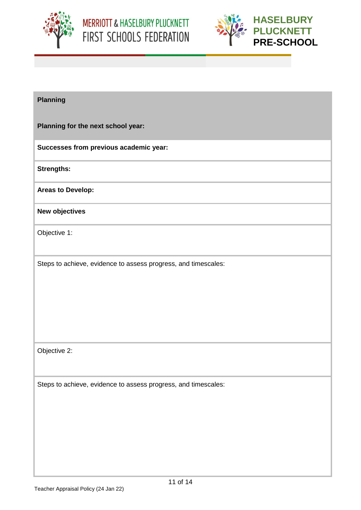



# **Planning**

**Planning for the next school year:** 

**Successes from previous academic year:**

**Strengths:**

**Areas to Develop:**

**New objectives**

Objective 1:

Steps to achieve, evidence to assess progress, and timescales:

Objective 2:

Steps to achieve, evidence to assess progress, and timescales: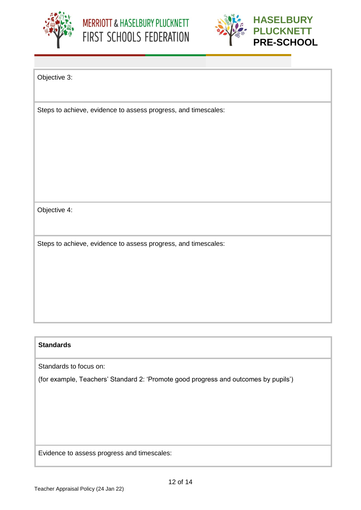



Objective 3:

Steps to achieve, evidence to assess progress, and timescales:

Objective 4:

Steps to achieve, evidence to assess progress, and timescales:

# **Standards**

Standards to focus on:

(for example, Teachers' Standard 2: 'Promote good progress and outcomes by pupils')

Evidence to assess progress and timescales: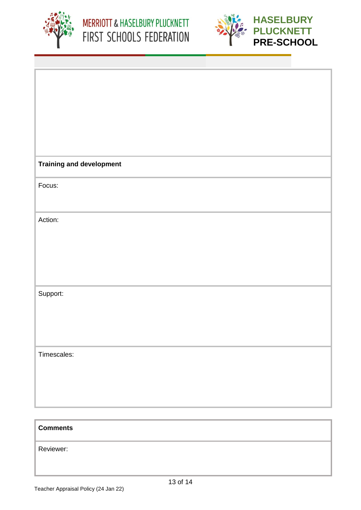



| <b>Training and development</b> |
|---------------------------------|
|                                 |
|                                 |
| Focus:                          |
|                                 |
|                                 |
|                                 |
|                                 |
| Action:                         |
|                                 |
|                                 |
|                                 |
|                                 |
|                                 |
|                                 |
|                                 |
|                                 |
|                                 |
| Support:                        |
|                                 |
|                                 |
|                                 |
|                                 |
|                                 |
|                                 |
|                                 |
| Timescales:                     |
|                                 |
|                                 |
|                                 |
|                                 |
|                                 |
|                                 |
|                                 |
|                                 |
|                                 |
|                                 |

# **Comments**

Reviewer: